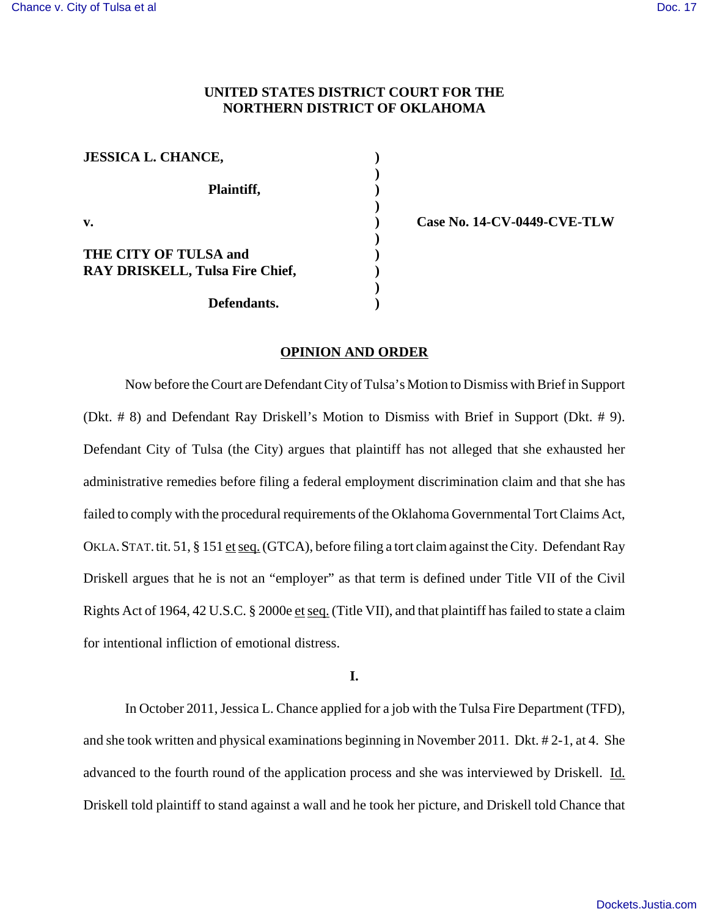# **UNITED STATES DISTRICT COURT FOR THE NORTHERN DISTRICT OF OKLAHOMA**

| <b>JESSICA L. CHANCE,</b>              |  |
|----------------------------------------|--|
| Plaintiff,                             |  |
| $V_{\bullet}$                          |  |
| <b>THE CITY OF TULSA and</b>           |  |
| <b>RAY DRISKELL, Tulsa Fire Chief,</b> |  |
| Defendants.                            |  |

**v. ) Case No. 14-CV-0449-CVE-TLW**

#### **OPINION AND ORDER**

Now before the Court are Defendant City of Tulsa's Motion to Dismiss with Brief in Support (Dkt. # 8) and Defendant Ray Driskell's Motion to Dismiss with Brief in Support (Dkt. # 9). Defendant City of Tulsa (the City) argues that plaintiff has not alleged that she exhausted her administrative remedies before filing a federal employment discrimination claim and that she has failed to comply with the procedural requirements of the Oklahoma Governmental Tort Claims Act, OKLA.STAT.tit. 51, § 151 et seq. (GTCA), before filing a tort claim against the City. Defendant Ray Driskell argues that he is not an "employer" as that term is defined under Title VII of the Civil Rights Act of 1964, 42 U.S.C. § 2000e et seq. (Title VII), and that plaintiff has failed to state a claim for intentional infliction of emotional distress.

**I.**

In October 2011, Jessica L. Chance applied for a job with the Tulsa Fire Department (TFD), and she took written and physical examinations beginning in November 2011. Dkt. # 2-1, at 4. She advanced to the fourth round of the application process and she was interviewed by Driskell. Id. Driskell told plaintiff to stand against a wall and he took her picture, and Driskell told Chance that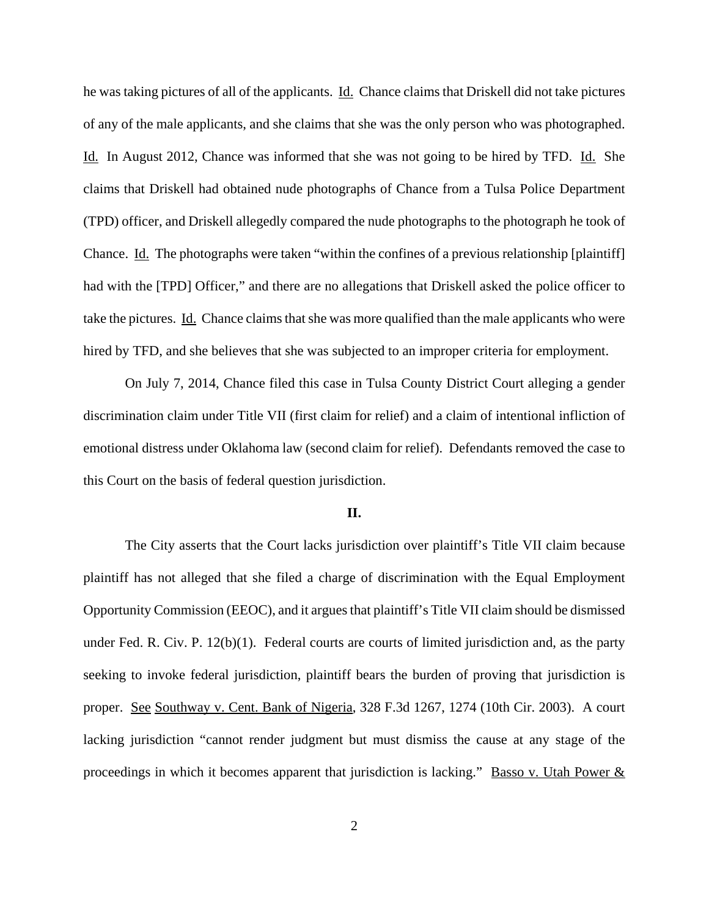he was taking pictures of all of the applicants. Id. Chance claims that Driskell did not take pictures of any of the male applicants, and she claims that she was the only person who was photographed. Id. In August 2012, Chance was informed that she was not going to be hired by TFD. Id. She claims that Driskell had obtained nude photographs of Chance from a Tulsa Police Department (TPD) officer, and Driskell allegedly compared the nude photographs to the photograph he took of Chance. Id. The photographs were taken "within the confines of a previous relationship [plaintiff] had with the [TPD] Officer," and there are no allegations that Driskell asked the police officer to take the pictures. Id. Chance claims that she was more qualified than the male applicants who were hired by TFD, and she believes that she was subjected to an improper criteria for employment.

On July 7, 2014, Chance filed this case in Tulsa County District Court alleging a gender discrimination claim under Title VII (first claim for relief) and a claim of intentional infliction of emotional distress under Oklahoma law (second claim for relief). Defendants removed the case to this Court on the basis of federal question jurisdiction.

### **II.**

The City asserts that the Court lacks jurisdiction over plaintiff's Title VII claim because plaintiff has not alleged that she filed a charge of discrimination with the Equal Employment Opportunity Commission (EEOC), and it argues that plaintiff's Title VII claim should be dismissed under Fed. R. Civ. P. 12(b)(1). Federal courts are courts of limited jurisdiction and, as the party seeking to invoke federal jurisdiction, plaintiff bears the burden of proving that jurisdiction is proper. See Southway v. Cent. Bank of Nigeria, 328 F.3d 1267, 1274 (10th Cir. 2003). A court lacking jurisdiction "cannot render judgment but must dismiss the cause at any stage of the proceedings in which it becomes apparent that jurisdiction is lacking." Basso v. Utah Power  $&$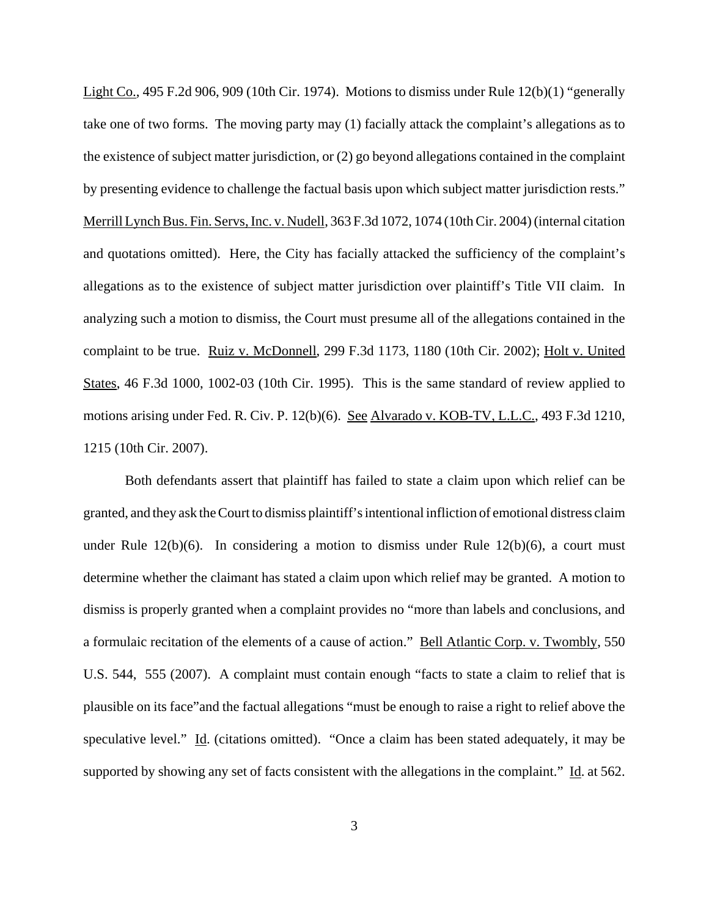Light Co., 495 F.2d 906, 909 (10th Cir. 1974). Motions to dismiss under Rule 12(b)(1) "generally take one of two forms. The moving party may (1) facially attack the complaint's allegations as to the existence of subject matter jurisdiction, or (2) go beyond allegations contained in the complaint by presenting evidence to challenge the factual basis upon which subject matter jurisdiction rests." Merrill Lynch Bus. Fin. Servs, Inc. v. Nudell, 363 F.3d 1072, 1074 (10th Cir. 2004) (internal citation and quotations omitted). Here, the City has facially attacked the sufficiency of the complaint's allegations as to the existence of subject matter jurisdiction over plaintiff's Title VII claim. In analyzing such a motion to dismiss, the Court must presume all of the allegations contained in the complaint to be true. Ruiz v. McDonnell, 299 F.3d 1173, 1180 (10th Cir. 2002); Holt v. United States, 46 F.3d 1000, 1002-03 (10th Cir. 1995). This is the same standard of review applied to motions arising under Fed. R. Civ. P. 12(b)(6). See Alvarado v. KOB-TV, L.L.C., 493 F.3d 1210, 1215 (10th Cir. 2007).

Both defendants assert that plaintiff has failed to state a claim upon which relief can be granted, and they ask the Court to dismiss plaintiff's intentional infliction of emotional distress claim under Rule 12(b)(6). In considering a motion to dismiss under Rule 12(b)(6), a court must determine whether the claimant has stated a claim upon which relief may be granted. A motion to dismiss is properly granted when a complaint provides no "more than labels and conclusions, and a formulaic recitation of the elements of a cause of action." Bell Atlantic Corp. v. Twombly, 550 U.S. 544, 555 (2007). A complaint must contain enough "facts to state a claim to relief that is plausible on its face"and the factual allegations "must be enough to raise a right to relief above the speculative level." Id. (citations omitted). "Once a claim has been stated adequately, it may be supported by showing any set of facts consistent with the allegations in the complaint." Id. at 562.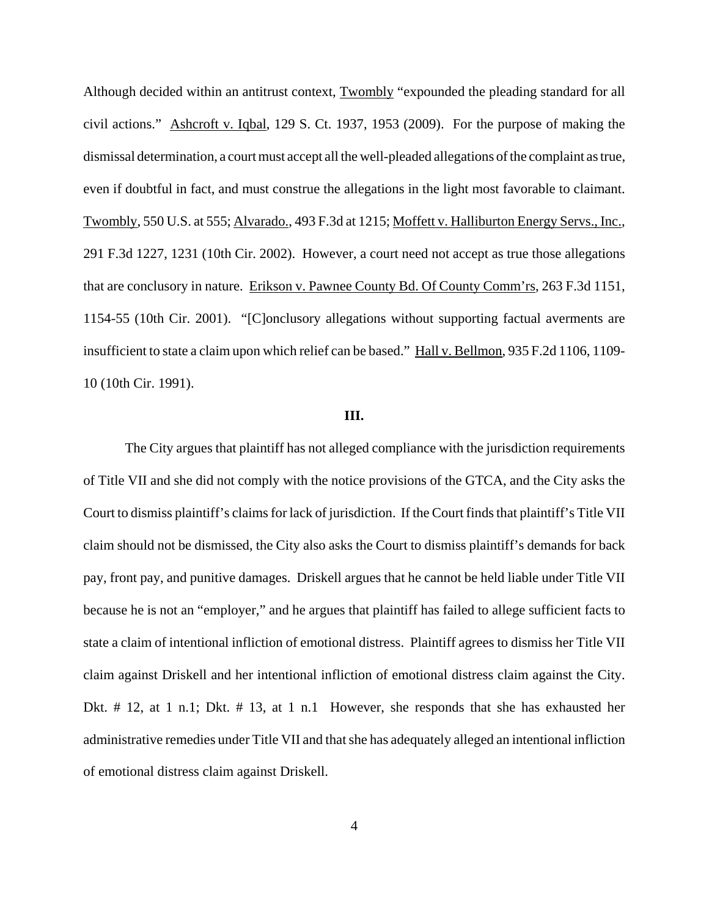Although decided within an antitrust context, Twombly "expounded the pleading standard for all civil actions." Ashcroft v. Iqbal, 129 S. Ct. 1937, 1953 (2009). For the purpose of making the dismissal determination, a court must accept all the well-pleaded allegations of the complaint as true, even if doubtful in fact, and must construe the allegations in the light most favorable to claimant. Twombly, 550 U.S. at 555; Alvarado., 493 F.3d at 1215; Moffett v. Halliburton Energy Servs., Inc., 291 F.3d 1227, 1231 (10th Cir. 2002). However, a court need not accept as true those allegations that are conclusory in nature. Erikson v. Pawnee County Bd. Of County Comm'rs, 263 F.3d 1151, 1154-55 (10th Cir. 2001). "[C]onclusory allegations without supporting factual averments are insufficient to state a claim upon which relief can be based." Hall v. Bellmon, 935 F.2d 1106, 1109- 10 (10th Cir. 1991).

## **III.**

The City argues that plaintiff has not alleged compliance with the jurisdiction requirements of Title VII and she did not comply with the notice provisions of the GTCA, and the City asks the Court to dismiss plaintiff's claims for lack of jurisdiction. If the Court finds that plaintiff's Title VII claim should not be dismissed, the City also asks the Court to dismiss plaintiff's demands for back pay, front pay, and punitive damages. Driskell argues that he cannot be held liable under Title VII because he is not an "employer," and he argues that plaintiff has failed to allege sufficient facts to state a claim of intentional infliction of emotional distress. Plaintiff agrees to dismiss her Title VII claim against Driskell and her intentional infliction of emotional distress claim against the City. Dkt. # 12, at 1 n.1; Dkt. # 13, at 1 n.1 However, she responds that she has exhausted her administrative remedies under Title VII and that she has adequately alleged an intentional infliction of emotional distress claim against Driskell.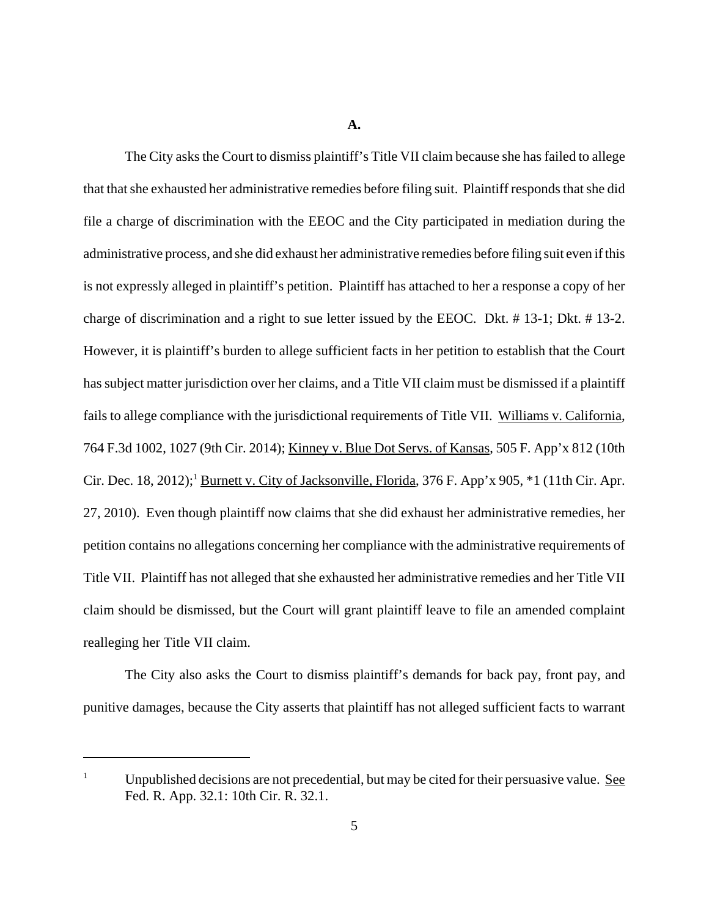**A.**

The City asks the Court to dismiss plaintiff's Title VII claim because she has failed to allege that that she exhausted her administrative remedies before filing suit. Plaintiff responds that she did file a charge of discrimination with the EEOC and the City participated in mediation during the administrative process, and she did exhaust her administrative remedies before filing suit even if this is not expressly alleged in plaintiff's petition. Plaintiff has attached to her a response a copy of her charge of discrimination and a right to sue letter issued by the EEOC. Dkt. # 13-1; Dkt. # 13-2. However, it is plaintiff's burden to allege sufficient facts in her petition to establish that the Court has subject matter jurisdiction over her claims, and a Title VII claim must be dismissed if a plaintiff fails to allege compliance with the jurisdictional requirements of Title VII. Williams v. California, 764 F.3d 1002, 1027 (9th Cir. 2014); Kinney v. Blue Dot Servs. of Kansas, 505 F. App'x 812 (10th Cir. Dec. 18, 2012);<sup>1</sup> Burnett v. City of Jacksonville, Florida, 376 F. App'x 905, \*1 (11th Cir. Apr. 27, 2010). Even though plaintiff now claims that she did exhaust her administrative remedies, her petition contains no allegations concerning her compliance with the administrative requirements of Title VII. Plaintiff has not alleged that she exhausted her administrative remedies and her Title VII claim should be dismissed, but the Court will grant plaintiff leave to file an amended complaint realleging her Title VII claim.

The City also asks the Court to dismiss plaintiff's demands for back pay, front pay, and punitive damages, because the City asserts that plaintiff has not alleged sufficient facts to warrant

Unpublished decisions are not precedential, but may be cited for their persuasive value. See Fed. R. App. 32.1: 10th Cir. R. 32.1.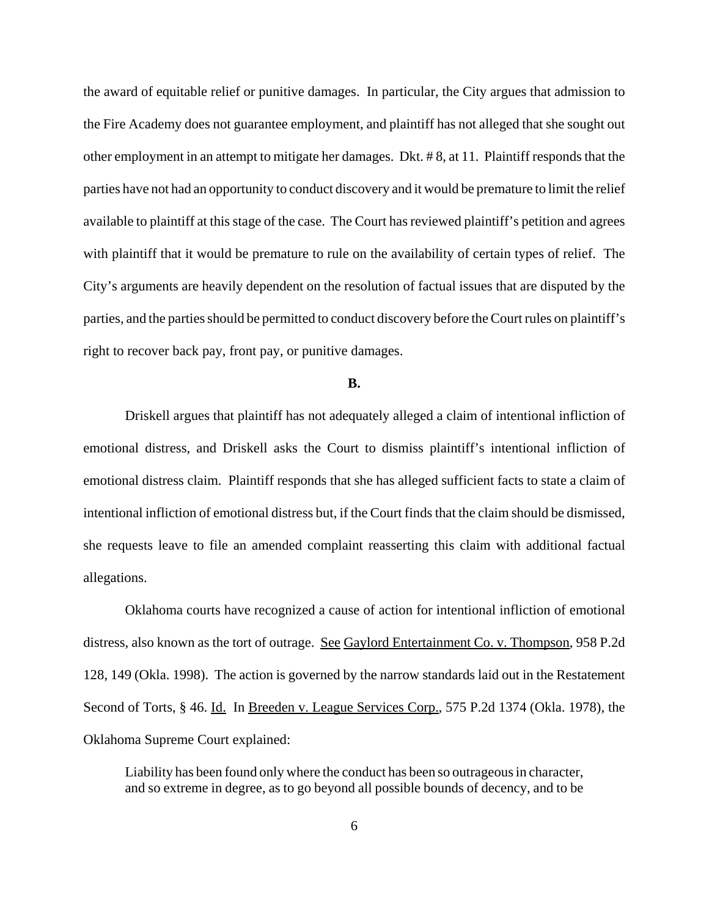the award of equitable relief or punitive damages. In particular, the City argues that admission to the Fire Academy does not guarantee employment, and plaintiff has not alleged that she sought out other employment in an attempt to mitigate her damages. Dkt. # 8, at 11. Plaintiff responds that the parties have not had an opportunity to conduct discovery and it would be premature to limit the relief available to plaintiff at this stage of the case. The Court has reviewed plaintiff's petition and agrees with plaintiff that it would be premature to rule on the availability of certain types of relief. The City's arguments are heavily dependent on the resolution of factual issues that are disputed by the parties, and the parties should be permitted to conduct discovery before the Court rules on plaintiff's right to recover back pay, front pay, or punitive damages.

## **B.**

Driskell argues that plaintiff has not adequately alleged a claim of intentional infliction of emotional distress, and Driskell asks the Court to dismiss plaintiff's intentional infliction of emotional distress claim. Plaintiff responds that she has alleged sufficient facts to state a claim of intentional infliction of emotional distress but, if the Court finds that the claim should be dismissed, she requests leave to file an amended complaint reasserting this claim with additional factual allegations.

Oklahoma courts have recognized a cause of action for intentional infliction of emotional distress, also known as the tort of outrage. See Gaylord Entertainment Co. v. Thompson, 958 P.2d 128, 149 (Okla. 1998). The action is governed by the narrow standards laid out in the Restatement Second of Torts, § 46. Id. In Breeden v. League Services Corp., 575 P.2d 1374 (Okla. 1978), the Oklahoma Supreme Court explained:

Liability has been found only where the conduct has been so outrageous in character, and so extreme in degree, as to go beyond all possible bounds of decency, and to be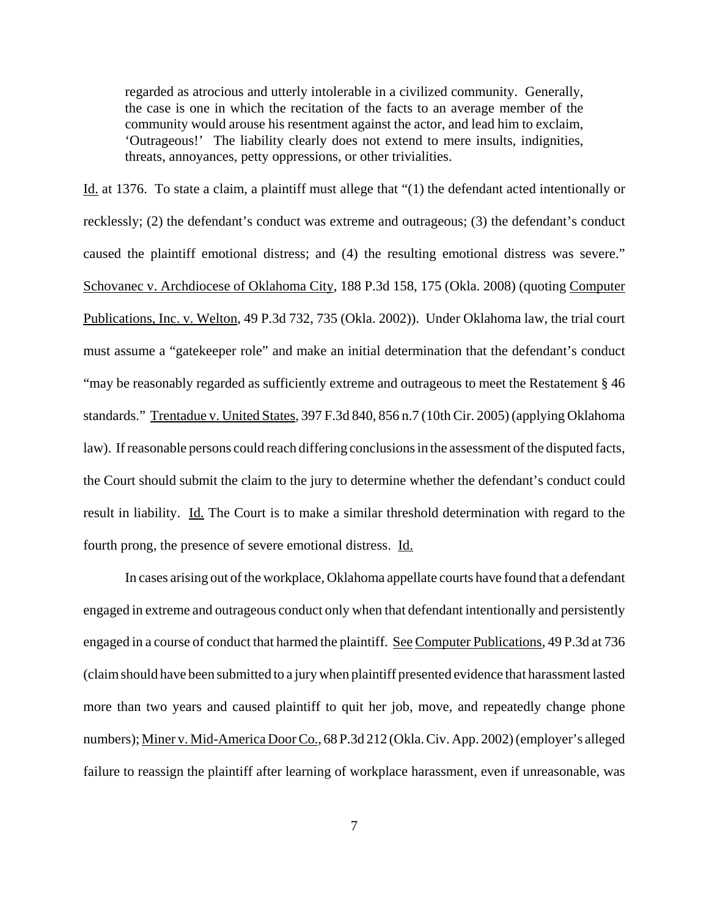regarded as atrocious and utterly intolerable in a civilized community. Generally, the case is one in which the recitation of the facts to an average member of the community would arouse his resentment against the actor, and lead him to exclaim, 'Outrageous!' The liability clearly does not extend to mere insults, indignities, threats, annoyances, petty oppressions, or other trivialities.

Id. at 1376. To state a claim, a plaintiff must allege that "(1) the defendant acted intentionally or recklessly; (2) the defendant's conduct was extreme and outrageous; (3) the defendant's conduct caused the plaintiff emotional distress; and (4) the resulting emotional distress was severe." Schovanec v. Archdiocese of Oklahoma City, 188 P.3d 158, 175 (Okla. 2008) (quoting Computer Publications, Inc. v. Welton, 49 P.3d 732, 735 (Okla. 2002)). Under Oklahoma law, the trial court must assume a "gatekeeper role" and make an initial determination that the defendant's conduct "may be reasonably regarded as sufficiently extreme and outrageous to meet the Restatement § 46 standards." Trentadue v. United States, 397 F.3d 840, 856 n.7 (10th Cir. 2005) (applying Oklahoma law). If reasonable persons could reach differing conclusions in the assessment of the disputed facts, the Court should submit the claim to the jury to determine whether the defendant's conduct could result in liability. Id. The Court is to make a similar threshold determination with regard to the fourth prong, the presence of severe emotional distress. Id.

In cases arising out of the workplace, Oklahoma appellate courts have found that a defendant engaged in extreme and outrageous conduct only when that defendant intentionally and persistently engaged in a course of conduct that harmed the plaintiff. See Computer Publications, 49 P.3d at 736 (claim should have been submitted to a jury when plaintiff presented evidence that harassment lasted more than two years and caused plaintiff to quit her job, move, and repeatedly change phone numbers); Miner v. Mid-America Door Co., 68 P.3d 212 (Okla. Civ. App. 2002) (employer's alleged failure to reassign the plaintiff after learning of workplace harassment, even if unreasonable, was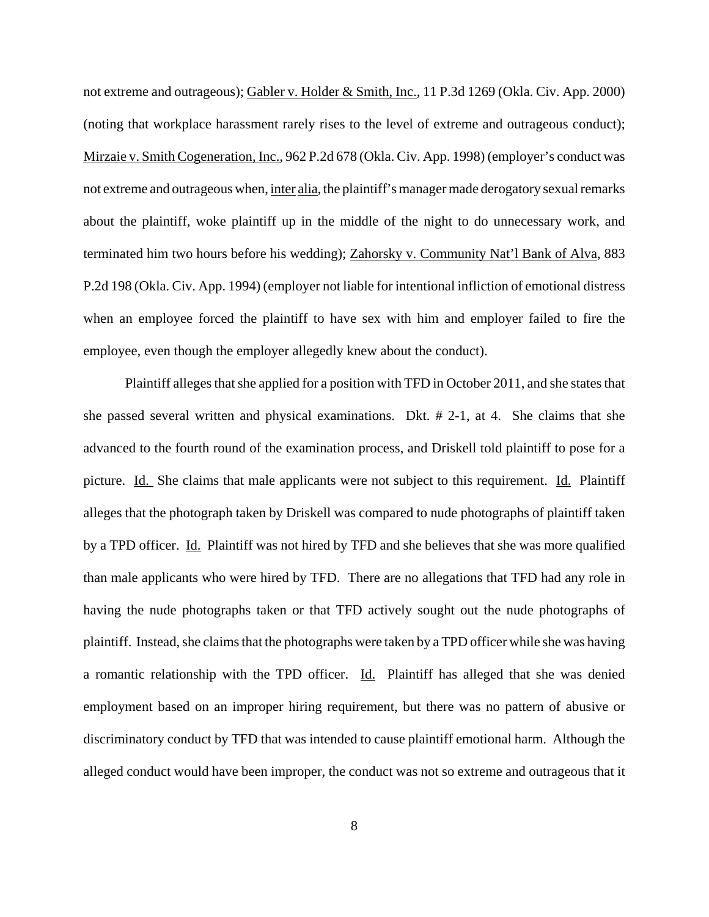not extreme and outrageous); Gabler v. Holder & Smith, Inc., 11 P.3d 1269 (Okla. Civ. App. 2000) (noting that workplace harassment rarely rises to the level of extreme and outrageous conduct); Mirzaie v. Smith Cogeneration, Inc., 962 P.2d 678 (Okla. Civ. App. 1998) (employer's conduct was not extreme and outrageous when, inter alia, the plaintiff's manager made derogatory sexual remarks about the plaintiff, woke plaintiff up in the middle of the night to do unnecessary work, and terminated him two hours before his wedding); Zahorsky v. Community Nat'l Bank of Alva, 883 P.2d 198 (Okla. Civ. App. 1994) (employer not liable for intentional infliction of emotional distress when an employee forced the plaintiff to have sex with him and employer failed to fire the employee, even though the employer allegedly knew about the conduct).

Plaintiff alleges that she applied for a position with TFD in October 2011, and she states that she passed several written and physical examinations. Dkt. # 2-1, at 4. She claims that she advanced to the fourth round of the examination process, and Driskell told plaintiff to pose for a picture. Id. She claims that male applicants were not subject to this requirement. Id. Plaintiff alleges that the photograph taken by Driskell was compared to nude photographs of plaintiff taken by a TPD officer. Id. Plaintiff was not hired by TFD and she believes that she was more qualified than male applicants who were hired by TFD. There are no allegations that TFD had any role in having the nude photographs taken or that TFD actively sought out the nude photographs of plaintiff. Instead, she claims that the photographs were taken by a TPD officer while she was having a romantic relationship with the TPD officer. Id. Plaintiff has alleged that she was denied employment based on an improper hiring requirement, but there was no pattern of abusive or discriminatory conduct by TFD that was intended to cause plaintiff emotional harm. Although the alleged conduct would have been improper, the conduct was not so extreme and outrageous that it